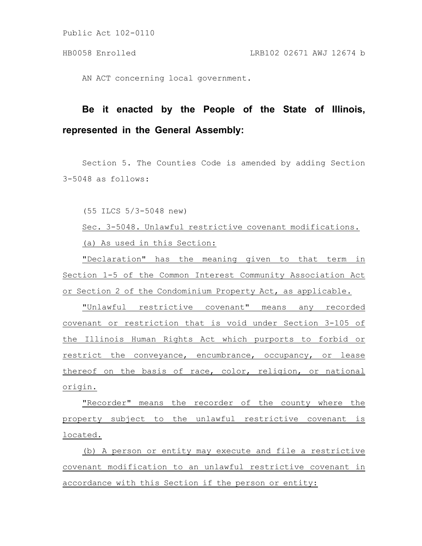AN ACT concerning local government.

## **Be it enacted by the People of the State of Illinois, represented in the General Assembly:**

Section 5. The Counties Code is amended by adding Section 3-5048 as follows:

(55 ILCS 5/3-5048 new)

Sec. 3-5048. Unlawful restrictive covenant modifications. (a) As used in this Section:

"Declaration" has the meaning given to that term in Section 1-5 of the Common Interest Community Association Act or Section 2 of the Condominium Property Act, as applicable.

"Unlawful restrictive covenant" means any recorded covenant or restriction that is void under Section 3-105 of the Illinois Human Rights Act which purports to forbid or restrict the conveyance, encumbrance, occupancy, or lease thereof on the basis of race, color, religion, or national origin.

"Recorder" means the recorder of the county where the property subject to the unlawful restrictive covenant is located.

(b) A person or entity may execute and file a restrictive covenant modification to an unlawful restrictive covenant in accordance with this Section if the person or entity: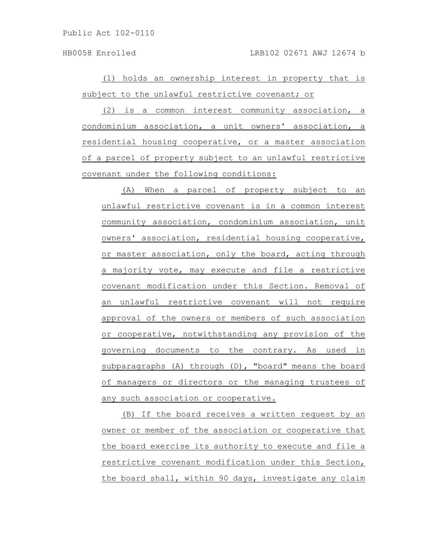HB0058 Enrolled LRB102 02671 AWJ 12674 b

(1) holds an ownership interest in property that is subject to the unlawful restrictive covenant; or

(2) is a common interest community association, a condominium association, a unit owners' association, a residential housing cooperative, or a master association of a parcel of property subject to an unlawful restrictive covenant under the following conditions:

(A) When a parcel of property subject to an unlawful restrictive covenant is in a common interest community association, condominium association, unit owners' association, residential housing cooperative, or master association, only the board, acting through a majority vote, may execute and file a restrictive covenant modification under this Section. Removal of an unlawful restrictive covenant will not require approval of the owners or members of such association or cooperative, notwithstanding any provision of the governing documents to the contrary. As used in subparagraphs (A) through (D), "board" means the board of managers or directors or the managing trustees of any such association or cooperative.

(B) If the board receives a written request by an owner or member of the association or cooperative that the board exercise its authority to execute and file a restrictive covenant modification under this Section, the board shall, within 90 days, investigate any claim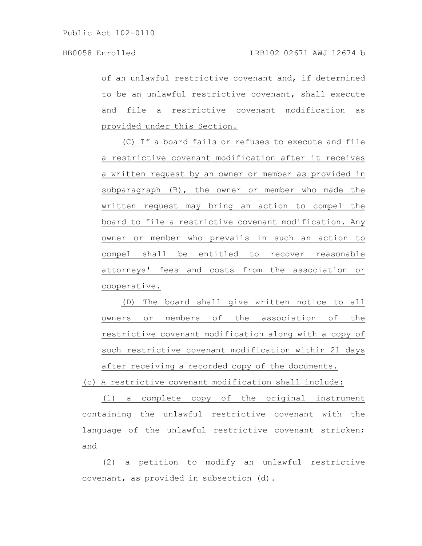of an unlawful restrictive covenant and, if determined to be an unlawful restrictive covenant, shall execute and file a restrictive covenant modification as provided under this Section.

(C) If a board fails or refuses to execute and file a restrictive covenant modification after it receives a written request by an owner or member as provided in subparagraph (B), the owner or member who made the written request may bring an action to compel the board to file a restrictive covenant modification. Any owner or member who prevails in such an action to compel shall be entitled to recover reasonable attorneys' fees and costs from the association or cooperative.

(D) The board shall give written notice to all owners or members of the association of the restrictive covenant modification along with a copy of such restrictive covenant modification within 21 days after receiving a recorded copy of the documents.

(c) A restrictive covenant modification shall include:

(1) a complete copy of the original instrument containing the unlawful restrictive covenant with the language of the unlawful restrictive covenant stricken; and

(2) a petition to modify an unlawful restrictive covenant, as provided in subsection (d).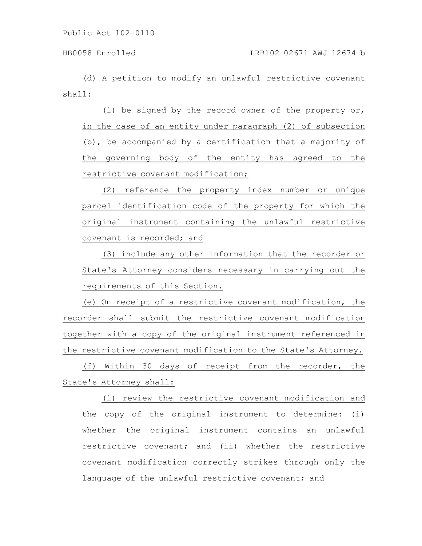(d) A petition to modify an unlawful restrictive covenant shall:

(1) be signed by the record owner of the property or, in the case of an entity under paragraph (2) of subsection (b), be accompanied by a certification that a majority of the governing body of the entity has agreed to the restrictive covenant modification;

(2) reference the property index number or unique parcel identification code of the property for which the original instrument containing the unlawful restrictive covenant is recorded; and

(3) include any other information that the recorder or State's Attorney considers necessary in carrying out the requirements of this Section.

(e) On receipt of a restrictive covenant modification, the recorder shall submit the restrictive covenant modification together with a copy of the original instrument referenced in the restrictive covenant modification to the State's Attorney.

(f) Within 30 days of receipt from the recorder, the State's Attorney shall:

(1) review the restrictive covenant modification and the copy of the original instrument to determine: (i) whether the original instrument contains an unlawful restrictive covenant; and (ii) whether the restrictive covenant modification correctly strikes through only the language of the unlawful restrictive covenant; and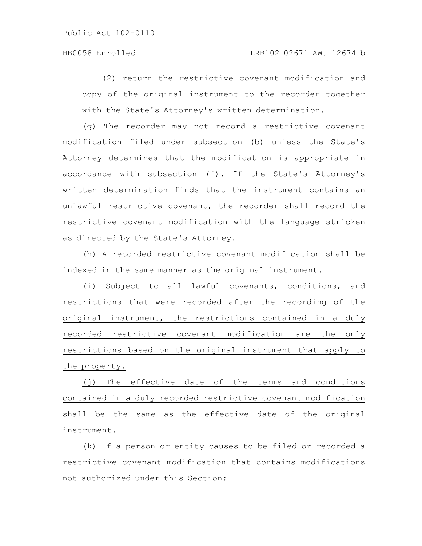(2) return the restrictive covenant modification and copy of the original instrument to the recorder together with the State's Attorney's written determination.

(g) The recorder may not record a restrictive covenant modification filed under subsection (b) unless the State's Attorney determines that the modification is appropriate in accordance with subsection (f). If the State's Attorney's written determination finds that the instrument contains an unlawful restrictive covenant, the recorder shall record the restrictive covenant modification with the language stricken as directed by the State's Attorney.

(h) A recorded restrictive covenant modification shall be indexed in the same manner as the original instrument.

(i) Subject to all lawful covenants, conditions, and restrictions that were recorded after the recording of the original instrument, the restrictions contained in a duly recorded restrictive covenant modification are the only restrictions based on the original instrument that apply to the property.

(j) The effective date of the terms and conditions contained in a duly recorded restrictive covenant modification shall be the same as the effective date of the original instrument.

(k) If a person or entity causes to be filed or recorded a restrictive covenant modification that contains modifications not authorized under this Section: